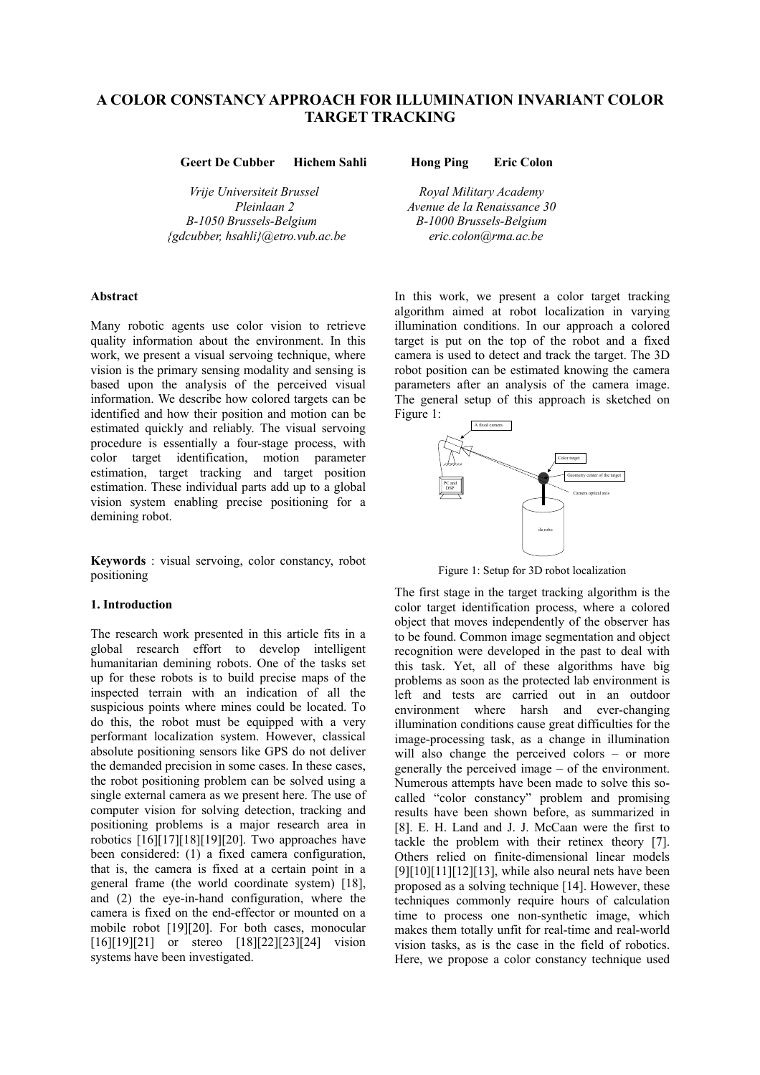# **A COLOR CONSTANCY APPROACH FOR ILLUMINATION INVARIANT COLOR TARGET TRACKING**

**Geert De Cubber Hichem Sahli Hong Ping Eric Colon** 

*Vrije Universiteit Brussel Royal Military Academy B-1050 Brussels-Belgium B-1000 Brussels-Belgium {gdcubber, hsahli}@etro.vub.ac.be eric.colon@rma.ac.be*

Many robotic agents use color vision to retrieve quality information about the environment. In this work, we present a visual servoing technique, where vision is the primary sensing modality and sensing is based upon the analysis of the perceived visual information. We describe how colored targets can be identified and how their position and motion can be estimated quickly and reliably. The visual servoing procedure is essentially a four-stage process, with color target identification, motion parameter estimation, target tracking and target position estimation. These individual parts add up to a global vision system enabling precise positioning for a demining robot.

**Keywords** : visual servoing, color constancy, robot positioning<br>positioning Figure 1: Setup for 3D robot localization<br>positioning

#### **1. Introduction**

The research work presented in this article fits in a global research effort to develop intelligent humanitarian demining robots. One of the tasks set up for these robots is to build precise maps of the inspected terrain with an indication of all the suspicious points where mines could be located. To do this, the robot must be equipped with a very performant localization system. However, classical absolute positioning sensors like GPS do not deliver the demanded precision in some cases. In these cases, the robot positioning problem can be solved using a single external camera as we present here. The use of computer vision for solving detection, tracking and positioning problems is a major research area in robotics [16][17][18][19][20]. Two approaches have been considered: (1) a fixed camera configuration, that is, the camera is fixed at a certain point in a general frame (the world coordinate system) [18], and (2) the eye-in-hand configuration, where the camera is fixed on the end-effector or mounted on a mobile robot [19][20]. For both cases, monocular [16][19][21] or stereo [18][22][23][24] vision systems have been investigated.

*Pleinlaan 2 Avenue de la Renaissance 30*

Abstract **In this work, we present a color target tracking** algorithm aimed at robot localization in varying illumination conditions. In our approach a colored target is put on the top of the robot and a fixed camera is used to detect and track the target. The 3D robot position can be estimated knowing the camera parameters after an analysis of the camera image. The general setup of this approach is sketched on Figure 1:



The first stage in the target tracking algorithm is the color target identification process, where a colored object that moves independently of the observer has to be found. Common image segmentation and object recognition were developed in the past to deal with this task. Yet, all of these algorithms have big problems as soon as the protected lab environment is left and tests are carried out in an outdoor environment where harsh and ever-changing illumination conditions cause great difficulties for the image-processing task, as a change in illumination will also change the perceived colors – or more generally the perceived image – of the environment. Numerous attempts have been made to solve this socalled "color constancy" problem and promising results have been shown before, as summarized in [8]. E. H. Land and J. J. McCaan were the first to tackle the problem with their retinex theory [7]. Others relied on finite-dimensional linear models  $[9][10][11][12][13]$ , while also neural nets have been proposed as a solving technique [14]. However, these techniques commonly require hours of calculation time to process one non-synthetic image, which makes them totally unfit for real-time and real-world vision tasks, as is the case in the field of robotics. Here, we propose a color constancy technique used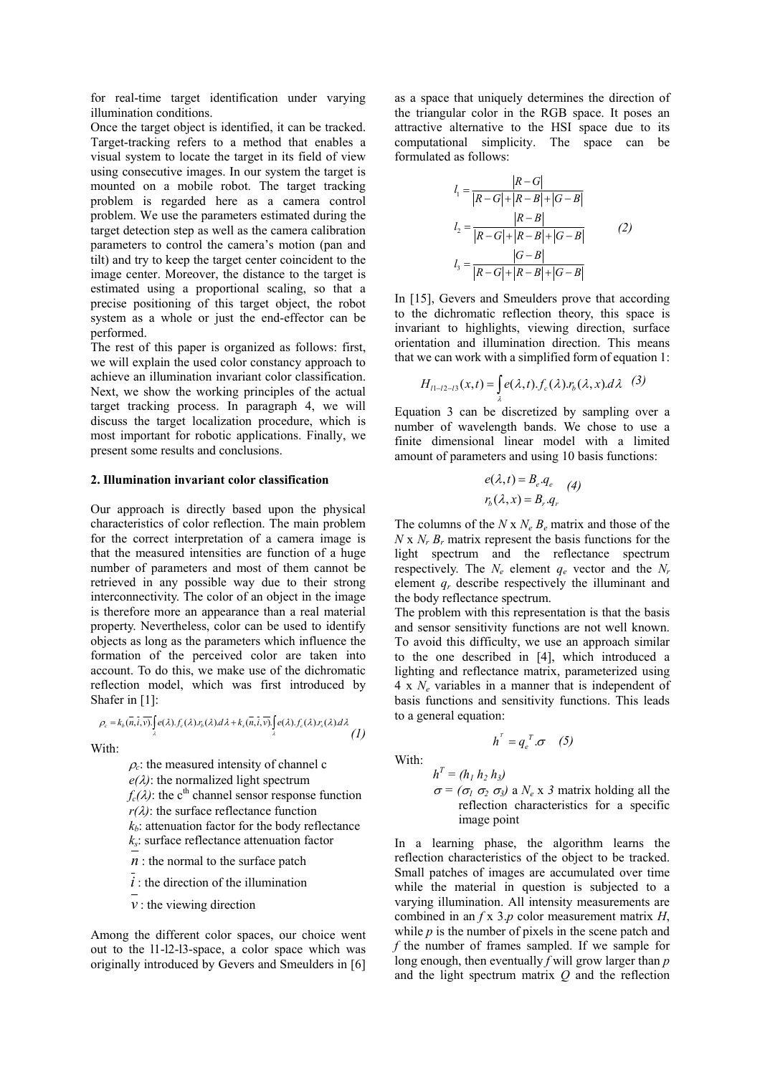for real-time target identification under varying illumination conditions.

Once the target object is identified, it can be tracked. Target-tracking refers to a method that enables a visual system to locate the target in its field of view using consecutive images. In our system the target is mounted on a mobile robot. The target tracking problem is regarded here as a camera control problem. We use the parameters estimated during the target detection step as well as the camera calibration parameters to control the camera's motion (pan and tilt) and try to keep the target center coincident to the image center. Moreover, the distance to the target is estimated using a proportional scaling, so that a precise positioning of this target object, the robot system as a whole or just the end-effector can be performed.

The rest of this paper is organized as follows: first, we will explain the used color constancy approach to achieve an illumination invariant color classification. Next, we show the working principles of the actual target tracking process. In paragraph 4, we will discuss the target localization procedure, which is most important for robotic applications. Finally, we present some results and conclusions.

## **2. Illumination invariant color classification**

Our approach is directly based upon the physical characteristics of color reflection. The main problem for the correct interpretation of a camera image is that the measured intensities are function of a huge number of parameters and most of them cannot be retrieved in any possible way due to their strong interconnectivity. The color of an object in the image is therefore more an appearance than a real material property. Nevertheless, color can be used to identify objects as long as the parameters which influence the formation of the perceived color are taken into account. To do this, we make use of the dichromatic reflection model, which was first introduced by Shafer in [1]:

$$
\rho_c = k_b(\overline{n}, \overline{i}, \overline{v}) \int_{\lambda} e(\lambda) . f_c(\lambda) . r_b(\lambda) d\lambda + k_s(\overline{n}, \overline{i}, \overline{v}) \int_{\lambda} e(\lambda) . r_s(\lambda) . r_s(\lambda) d\lambda \tag{1}
$$

With:

 $\rho_c$ : the measured intensity of channel c  $e(\lambda)$ : the normalized light spectrum  $f_c(\lambda)$ : the c<sup>th</sup> channel sensor response function  $r(\lambda)$ : the surface reflectance function  $k_b$ : attenuation factor for the body reflectance *ks*: surface reflectance attenuation factor  $n$  : the normal to the surface patch

*i* : the direction of the illumination

 $v$  : the viewing direction

Among the different color spaces, our choice went out to the l1-l2-l3-space, a color space which was originally introduced by Gevers and Smeulders in [6]

as a space that uniquely determines the direction of the triangular color in the RGB space. It poses an attractive alternative to the HSI space due to its computational simplicity. The space can be formulated as follows:

$$
l_1 = \frac{|R - G|}{|R - G| + |R - B| + |G - B|}
$$
  
\n
$$
l_2 = \frac{|R - B|}{|R - G| + |R - B| + |G - B|}
$$
  
\n
$$
l_3 = \frac{|G - B|}{|R - G| + |R - B| + |G - B|}
$$
  
\n(2)

In [15], Gevers and Smeulders prove that according to the dichromatic reflection theory, this space is invariant to highlights, viewing direction, surface orientation and illumination direction. This means that we can work with a simplified form of equation 1:

$$
H_{11-12-13}(x,t) = \int_{\lambda} e(\lambda,t) . f_c(\lambda) . r_b(\lambda,x) . d\lambda \quad (3)
$$

Equation 3 can be discretized by sampling over a number of wavelength bands. We chose to use a finite dimensional linear model with a limited amount of parameters and using 10 basis functions:

$$
e(\lambda, t) = B_e \cdot q_e \qquad (4)
$$

$$
r_b(\lambda, x) = B_r \cdot q_r
$$

The columns of the  $N \times N_e B_e$  matrix and those of the  $N \times N_r B_r$  matrix represent the basis functions for the light spectrum and the reflectance spectrum respectively. The  $N_e$  element  $q_e$  vector and the  $N_r$ element *qr* describe respectively the illuminant and the body reflectance spectrum.

The problem with this representation is that the basis and sensor sensitivity functions are not well known. To avoid this difficulty, we use an approach similar to the one described in [4], which introduced a lighting and reflectance matrix, parameterized using 4 x *Ne* variables in a manner that is independent of basis functions and sensitivity functions. This leads to a general equation:

$$
h^{\scriptscriptstyle T}=q_e^{\scriptscriptstyle T}.\sigma\quad(5)
$$

With:

 $h^T = (h_1 h_2 h_3)$ <sup>σ</sup> *= (*<sup>σ</sup>*<sup>1</sup>* <sup>σ</sup>*<sup>2</sup>* <sup>σ</sup>*3)* a *Ne* x *3* matrix holding all the reflection characteristics for a specific image point

In a learning phase, the algorithm learns the reflection characteristics of the object to be tracked. Small patches of images are accumulated over time while the material in question is subjected to a varying illumination. All intensity measurements are combined in an *f* x 3.*p* color measurement matrix *H*, while *p* is the number of pixels in the scene patch and *f* the number of frames sampled. If we sample for long enough, then eventually *f* will grow larger than *p* and the light spectrum matrix *Q* and the reflection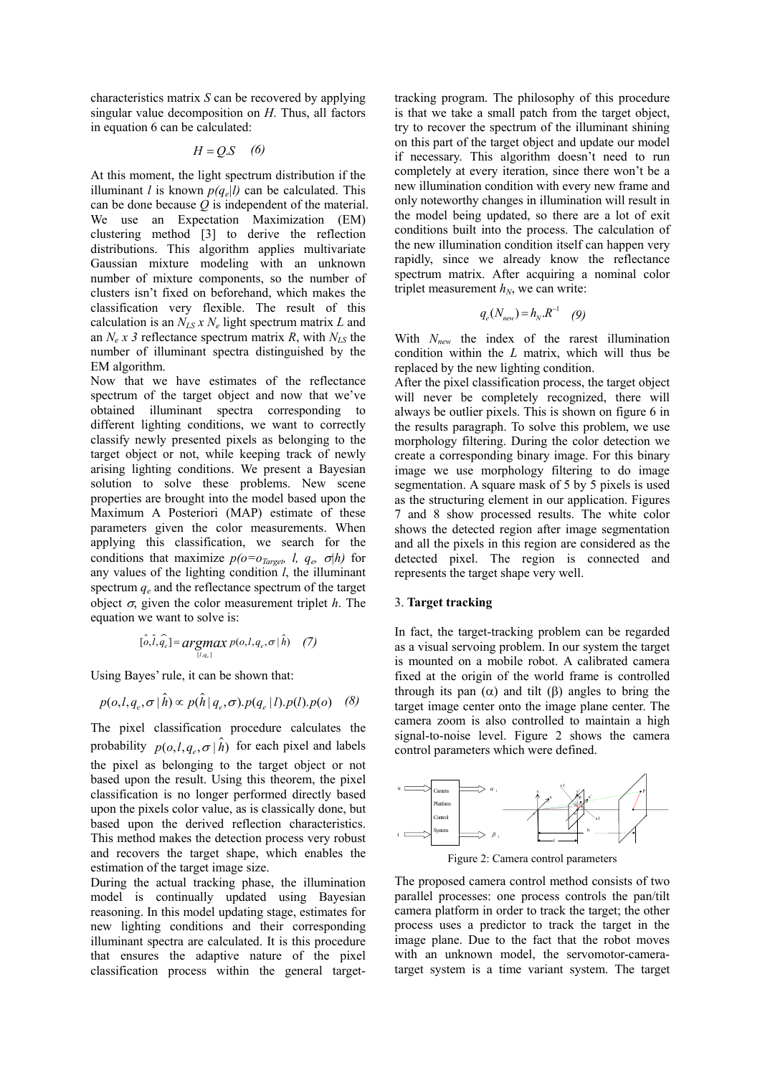characteristics matrix *S* can be recovered by applying singular value decomposition on *H*. Thus, all factors in equation 6 can be calculated:

$$
H = Q.S \quad (6)
$$

At this moment, the light spectrum distribution if the illuminant *l* is known  $p(q_e|l)$  can be calculated. This can be done because *Q* is independent of the material. We use an Expectation Maximization (EM) clustering method [3] to derive the reflection distributions. This algorithm applies multivariate Gaussian mixture modeling with an unknown number of mixture components, so the number of clusters isn't fixed on beforehand, which makes the classification very flexible. The result of this calculation is an  $N_{LS}$  x  $N_e$  light spectrum matrix L and an  $N_e x$  3 reflectance spectrum matrix *R*, with  $N_{LS}$  the number of illuminant spectra distinguished by the EM algorithm.

Now that we have estimates of the reflectance spectrum of the target object and now that we've obtained illuminant spectra corresponding to different lighting conditions, we want to correctly classify newly presented pixels as belonging to the target object or not, while keeping track of newly arising lighting conditions. We present a Bayesian solution to solve these problems. New scene properties are brought into the model based upon the Maximum A Posteriori (MAP) estimate of these parameters given the color measurements. When applying this classification, we search for the conditions that maximize  $p(o = o_{T_{\text{greet}}} l, q_e, \sigma | h)$  for any values of the lighting condition *l*, the illuminant spectrum  $q_e$  and the reflectance spectrum of the target object  $\sigma$ , given the color measurement triplet *h*. The equation we want to solve is:

$$
[\hat{o}, \hat{l}, \hat{q}_e] = \underset{[l, q_e]}{\arg\max} p(o, l, q_e, \sigma | \hat{h}) \quad (7)
$$

Using Bayes' rule, it can be shown that:

$$
p(o, l, q_e, \sigma | \hat{h}) \propto p(\hat{h} | q_e, \sigma).p(q_e | l).p(l).p(o) \quad (8)
$$

The pixel classification procedure calculates the probability  $p(o, l, q_e, \sigma | \hat{h})$  for each pixel and labels the pixel as belonging to the target object or not based upon the result. Using this theorem, the pixel classification is no longer performed directly based upon the pixels color value, as is classically done, but based upon the derived reflection characteristics. This method makes the detection process very robust and recovers the target shape, which enables the estimation of the target image size.

During the actual tracking phase, the illumination model is continually updated using Bayesian reasoning. In this model updating stage, estimates for new lighting conditions and their corresponding illuminant spectra are calculated. It is this procedure that ensures the adaptive nature of the pixel classification process within the general targettracking program. The philosophy of this procedure is that we take a small patch from the target object, try to recover the spectrum of the illuminant shining on this part of the target object and update our model if necessary. This algorithm doesn't need to run completely at every iteration, since there won't be a new illumination condition with every new frame and only noteworthy changes in illumination will result in the model being updated, so there are a lot of exit conditions built into the process. The calculation of the new illumination condition itself can happen very rapidly, since we already know the reflectance spectrum matrix. After acquiring a nominal color triplet measurement  $h_N$ , we can write:

$$
q_e(N_{\text{new}}) = h_N . R^{-1} \quad (9)
$$

With *Nnew* the index of the rarest illumination condition within the *L* matrix, which will thus be replaced by the new lighting condition.

After the pixel classification process, the target object will never be completely recognized, there will always be outlier pixels. This is shown on figure 6 in the results paragraph. To solve this problem, we use morphology filtering. During the color detection we create a corresponding binary image. For this binary image we use morphology filtering to do image segmentation. A square mask of 5 by 5 pixels is used as the structuring element in our application. Figures 7 and 8 show processed results. The white color shows the detected region after image segmentation and all the pixels in this region are considered as the detected pixel. The region is connected and represents the target shape very well.

## 3. **Target tracking**

In fact, the target-tracking problem can be regarded as a visual servoing problem. In our system the target is mounted on a mobile robot. A calibrated camera fixed at the origin of the world frame is controlled through its pan  $(\alpha)$  and tilt  $(\beta)$  angles to bring the target image center onto the image plane center. The camera zoom is also controlled to maintain a high signal-to-noise level. Figure 2 shows the camera control parameters which were defined.



Figure 2: Camera control parameters

The proposed camera control method consists of two parallel processes: one process controls the pan/tilt camera platform in order to track the target; the other process uses a predictor to track the target in the image plane. Due to the fact that the robot moves with an unknown model, the servomotor-cameratarget system is a time variant system. The target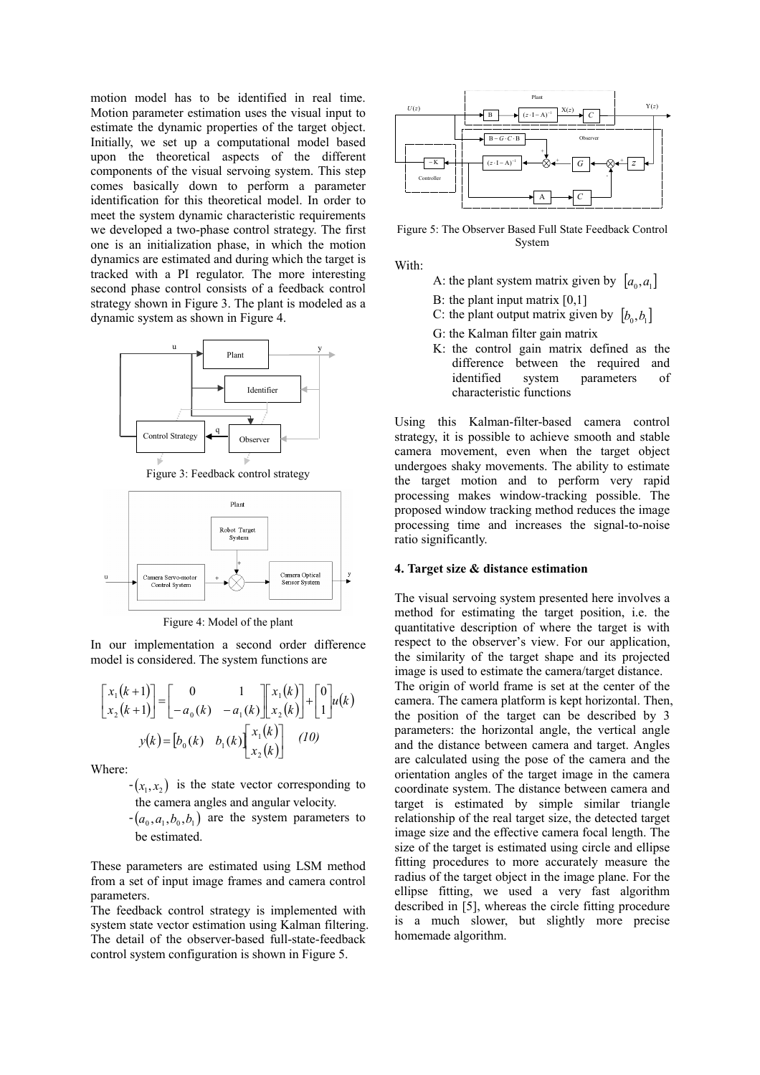motion model has to be identified in real time. Motion parameter estimation uses the visual input to estimate the dynamic properties of the target object. Initially, we set up a computational model based upon the theoretical aspects of the different components of the visual servoing system. This step comes basically down to perform a parameter identification for this theoretical model. In order to meet the system dynamic characteristic requirements we developed a two-phase control strategy. The first one is an initialization phase, in which the motion dynamics are estimated and during which the target is tracked with a PI regulator. The more interesting second phase control consists of a feedback control strategy shown in Figure 3. The plant is modeled as a dynamic system as shown in Figure 4.



Figure 3: Feedback control strategy



Figure 4: Model of the plant

In our implementation a second order difference model is considered. The system functions are

$$
\begin{bmatrix} x_1(k+1) \\ x_2(k+1) \end{bmatrix} = \begin{bmatrix} 0 & 1 \\ -a_0(k) & -a_1(k) \end{bmatrix} \begin{bmatrix} x_1(k) \\ x_2(k) \end{bmatrix} + \begin{bmatrix} 0 \\ 1 \end{bmatrix} u(k)
$$

$$
y(k) = \begin{bmatrix} b_0(k) & b_1(k) \end{bmatrix} \begin{bmatrix} x_1(k) \\ x_2(k) \end{bmatrix} \quad (10)
$$

Where:

 $-(x_1, x_2)$  is the state vector corresponding to the camera angles and angular velocity.

 $(a_0, a_1, b_0, b_1)$  are the system parameters to be estimated.

These parameters are estimated using LSM method from a set of input image frames and camera control parameters.

The feedback control strategy is implemented with system state vector estimation using Kalman filtering. The detail of the observer-based full-state-feedback control system configuration is shown in Figure 5.



Figure 5: The Observer Based Full State Feedback Control System

With:

- A: the plant system matrix given by  $[a_0, a_1]$
- B: the plant input matrix [0,1]
- C: the plant output matrix given by  $[b_0, b_1]$
- G: the Kalman filter gain matrix
- K: the control gain matrix defined as the difference between the required and identified system parameters of characteristic functions

Using this Kalman-filter-based camera control strategy, it is possible to achieve smooth and stable camera movement, even when the target object undergoes shaky movements. The ability to estimate the target motion and to perform very rapid processing makes window-tracking possible. The proposed window tracking method reduces the image processing time and increases the signal-to-noise ratio significantly.

#### **4. Target size & distance estimation**

The visual servoing system presented here involves a method for estimating the target position, i.e. the quantitative description of where the target is with respect to the observer's view. For our application, the similarity of the target shape and its projected image is used to estimate the camera/target distance. The origin of world frame is set at the center of the camera. The camera platform is kept horizontal. Then, the position of the target can be described by 3 parameters: the horizontal angle, the vertical angle and the distance between camera and target. Angles are calculated using the pose of the camera and the orientation angles of the target image in the camera coordinate system. The distance between camera and target is estimated by simple similar triangle relationship of the real target size, the detected target image size and the effective camera focal length. The size of the target is estimated using circle and ellipse fitting procedures to more accurately measure the radius of the target object in the image plane. For the ellipse fitting, we used a very fast algorithm described in [5], whereas the circle fitting procedure is a much slower, but slightly more precise homemade algorithm.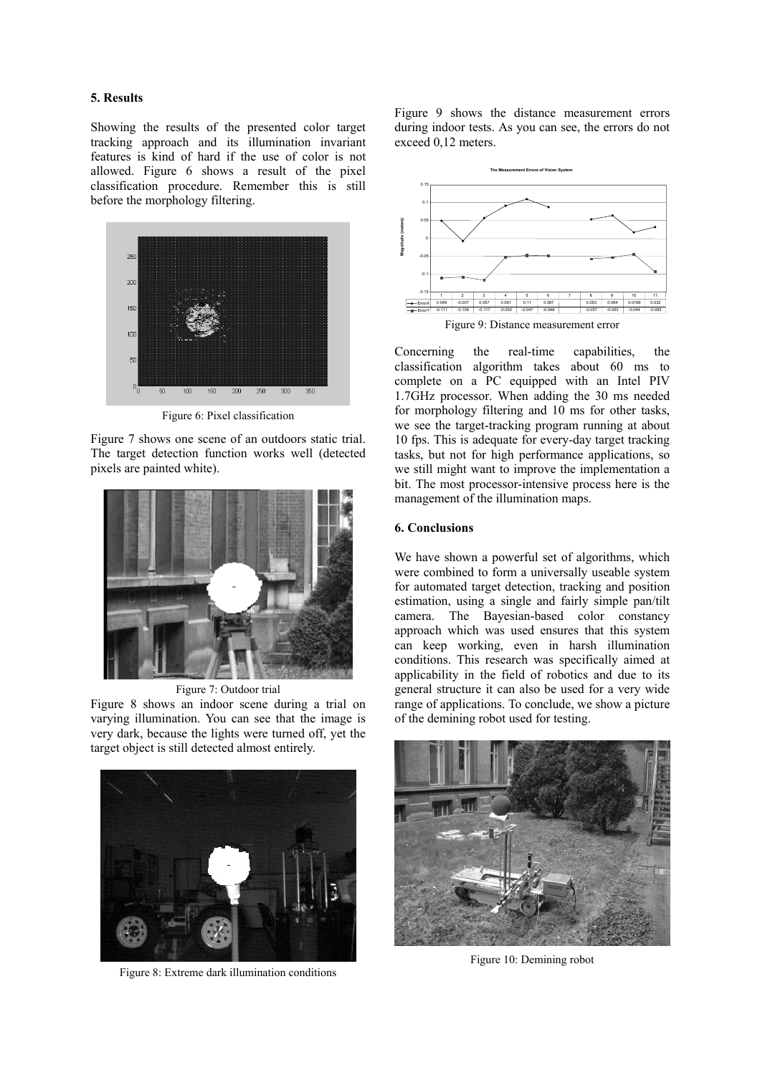## **5. Results**

Showing the results of the presented color target tracking approach and its illumination invariant features is kind of hard if the use of color is not allowed. Figure 6 shows a result of the pixel classification procedure. Remember this is still before the morphology filtering.



Figure 6: Pixel classification

Figure 7 shows one scene of an outdoors static trial. The target detection function works well (detected pixels are painted white).



Figure 7: Outdoor trial

Figure 8 shows an indoor scene during a trial on varying illumination. You can see that the image is very dark, because the lights were turned off, yet the target object is still detected almost entirely.



Figure 8: Extreme dark illumination conditions

Figure 9 shows the distance measurement errors during indoor tests. As you can see, the errors do not exceed 0,12 meters.



Concerning the real-time capabilities, the classification algorithm takes about 60 ms to complete on a PC equipped with an Intel PIV 1.7GHz processor. When adding the 30 ms needed for morphology filtering and 10 ms for other tasks, we see the target-tracking program running at about 10 fps. This is adequate for every-day target tracking tasks, but not for high performance applications, so we still might want to improve the implementation a bit. The most processor-intensive process here is the management of the illumination maps.

## **6. Conclusions**

We have shown a powerful set of algorithms, which were combined to form a universally useable system for automated target detection, tracking and position estimation, using a single and fairly simple pan/tilt camera. The Bayesian-based color constancy approach which was used ensures that this system can keep working, even in harsh illumination conditions. This research was specifically aimed at applicability in the field of robotics and due to its general structure it can also be used for a very wide range of applications. To conclude, we show a picture of the demining robot used for testing.



Figure 10: Demining robot